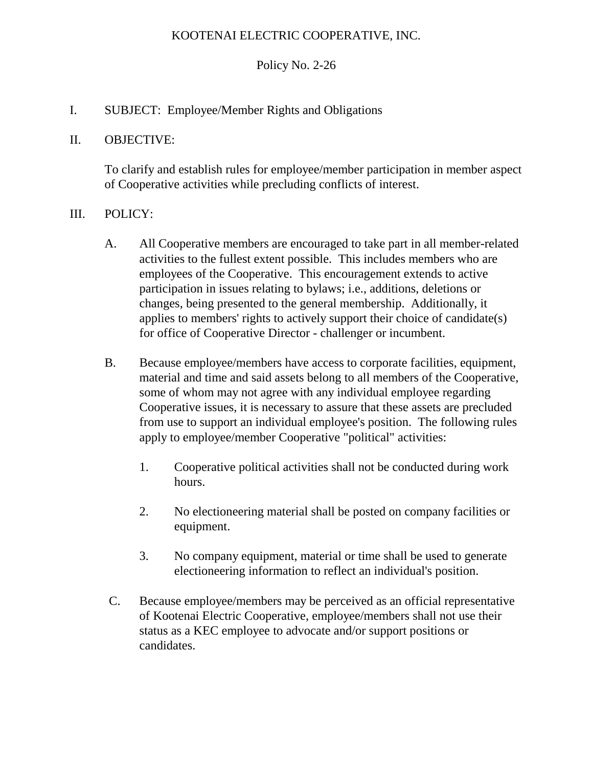## KOOTENAI ELECTRIC COOPERATIVE, INC.

### Policy No. 2-26

I. SUBJECT: Employee/Member Rights and Obligations

#### II. OBJECTIVE:

To clarify and establish rules for employee/member participation in member aspect of Cooperative activities while precluding conflicts of interest.

#### III. POLICY:

- A. All Cooperative members are encouraged to take part in all member-related activities to the fullest extent possible. This includes members who are employees of the Cooperative. This encouragement extends to active participation in issues relating to bylaws; i.e., additions, deletions or changes, being presented to the general membership. Additionally, it applies to members' rights to actively support their choice of candidate(s) for office of Cooperative Director - challenger or incumbent.
- B. Because employee/members have access to corporate facilities, equipment, material and time and said assets belong to all members of the Cooperative, some of whom may not agree with any individual employee regarding Cooperative issues, it is necessary to assure that these assets are precluded from use to support an individual employee's position. The following rules apply to employee/member Cooperative "political" activities:
	- 1. Cooperative political activities shall not be conducted during work hours.
	- 2. No electioneering material shall be posted on company facilities or equipment.
	- 3. No company equipment, material or time shall be used to generate electioneering information to reflect an individual's position.
- C. Because employee/members may be perceived as an official representative of Kootenai Electric Cooperative, employee/members shall not use their status as a KEC employee to advocate and/or support positions or candidates.